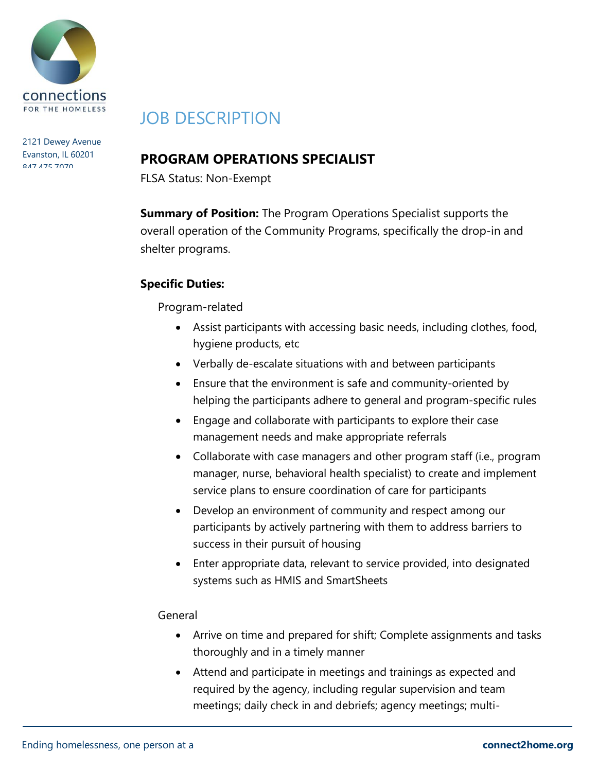

2121 Dewey Avenue Evanston, IL 60201 **847.475.7070** 

# JOB DESCRIPTION

# **PROGRAM OPERATIONS SPECIALIST**

FLSA Status: Non-Exempt

**Summary of Position:** The Program Operations Specialist supports the overall operation of the Community Programs, specifically the drop-in and shelter programs.

## **Specific Duties:**

Program-related

- Assist participants with accessing basic needs, including clothes, food, hygiene products, etc
- Verbally de-escalate situations with and between participants
- Ensure that the environment is safe and community-oriented by helping the participants adhere to general and program-specific rules
- Engage and collaborate with participants to explore their case management needs and make appropriate referrals
- Collaborate with case managers and other program staff (i.e., program manager, nurse, behavioral health specialist) to create and implement service plans to ensure coordination of care for participants
- Develop an environment of community and respect among our participants by actively partnering with them to address barriers to success in their pursuit of housing
- Enter appropriate data, relevant to service provided, into designated systems such as HMIS and SmartSheets

#### General

- Arrive on time and prepared for shift; Complete assignments and tasks thoroughly and in a timely manner
- Attend and participate in meetings and trainings as expected and required by the agency, including regular supervision and team meetings; daily check in and debriefs; agency meetings; multi-